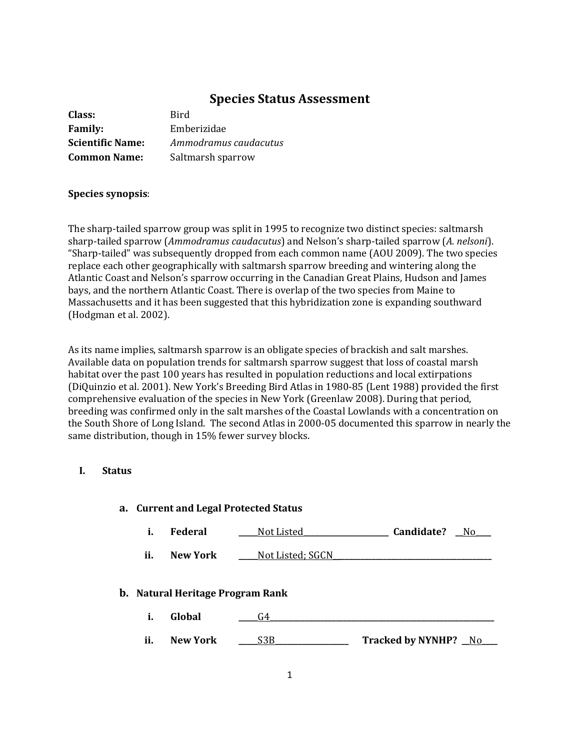# **Species Status Assessment**

| Class:                  | Bird                  |
|-------------------------|-----------------------|
| <b>Family:</b>          | Emberizidae           |
| <b>Scientific Name:</b> | Ammodramus caudacutus |
| <b>Common Name:</b>     | Saltmarsh sparrow     |

## **Species synopsis**:

The sharp-tailed sparrow group was split in 1995 to recognize two distinct species: saltmarsh sharp-tailed sparrow (*Ammodramus caudacutus*) and Nelson's sharp-tailed sparrow (*A. nelsoni*). "Sharp-tailed" was subsequently dropped from each common name (AOU 2009). The two species replace each other geographically with saltmarsh sparrow breeding and wintering along the Atlantic Coast and Nelson's sparrow occurring in the Canadian Great Plains, Hudson and James bays, and the northern Atlantic Coast. There is overlap of the two species from Maine to Massachusetts and it has been suggested that this hybridization zone is expanding southward (Hodgman et al. 2002).

As its name implies, saltmarsh sparrow is an obligate species of brackish and salt marshes. Available data on population trends for saltmarsh sparrow suggest that loss of coastal marsh habitat over the past 100 years has resulted in population reductions and local extirpations (DiQuinzio et al. 2001). New York's Breeding Bird Atlas in 1980-85 (Lent 1988) provided the first comprehensive evaluation of the species in New York (Greenlaw 2008). During that period, breeding was confirmed only in the salt marshes of the Coastal Lowlands with a concentration on the South Shore of Long Island. The second Atlas in 2000-05 documented this sparrow in nearly the same distribution, though in 15% fewer survey blocks.

# **I. Status**

| a. Current and Legal Protected Status   |                 |                   |                      |
|-----------------------------------------|-----------------|-------------------|----------------------|
| i.                                      | <b>Federal</b>  | <u>Not Listed</u> | Candidate?<br>No.    |
| ii.                                     | New York        | Not Listed; SGCN  |                      |
| <b>b.</b> Natural Heritage Program Rank |                 |                   |                      |
| i.                                      | Global          | G4                |                      |
| ii.                                     | <b>New York</b> | S <sub>3</sub> B  | Tracked by NYNHP? No |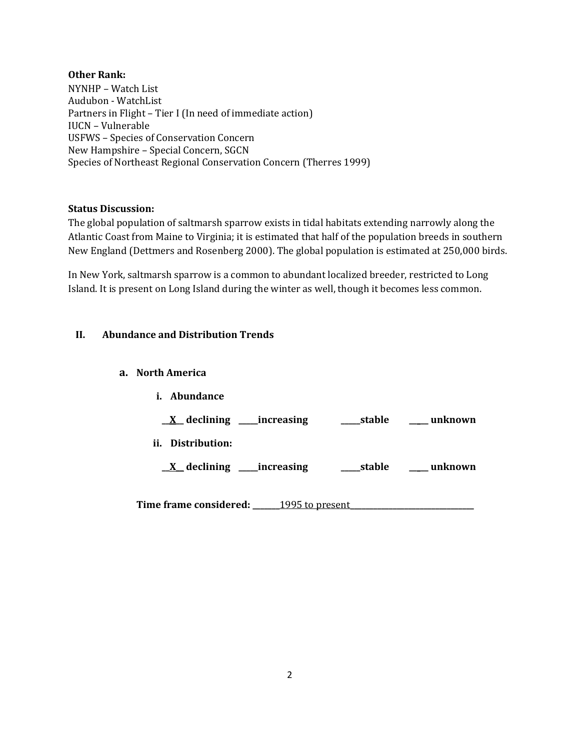## **Other Rank:**

NYNHP – Watch List Audubon - WatchList Partners in Flight – Tier I (In need of immediate action) IUCN – Vulnerable USFWS – Species of Conservation Concern New Hampshire – Special Concern, SGCN Species of Northeast Regional Conservation Concern (Therres 1999)

## **Status Discussion:**

The global population of saltmarsh sparrow exists in tidal habitats extending narrowly along the Atlantic Coast from Maine to Virginia; it is estimated that half of the population breeds in southern New England (Dettmers and Rosenberg 2000). The global population is estimated at 250,000 birds.

In New York, saltmarsh sparrow is a common to abundant localized breeder, restricted to Long Island. It is present on Long Island during the winter as well, though it becomes less common.

# **II. Abundance and Distribution Trends**

## **a. North America**

**i. Abundance \_\_X\_\_ declining \_\_\_\_\_increasing \_\_\_\_\_stable \_\_\_\_\_ unknown ii. Distribution: \_\_X\_\_ declining \_\_\_\_\_increasing \_\_\_\_\_stable \_\_\_\_\_ unknown**

**Time frame considered: \_\_\_\_\_\_\_**1995 to present**\_\_\_\_\_\_\_\_\_\_\_\_\_\_\_\_\_\_\_\_\_\_\_\_\_\_\_\_\_\_\_\_**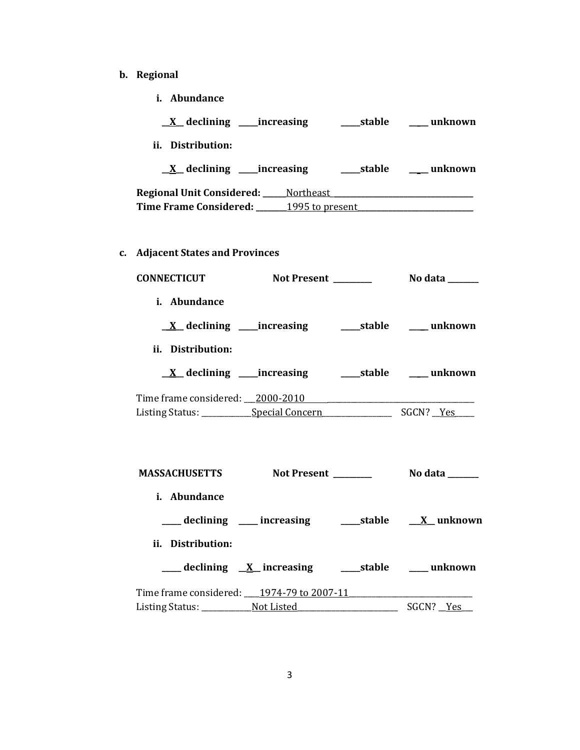- **b. Regional** 
	- **i. Abundance**

| $X$ declining ______ increasing        |           | stable | unknown |
|----------------------------------------|-----------|--------|---------|
| Distribution:<br>Ħ.                    |           |        |         |
| $X$ declining ______ increasing        |           | stable | unknown |
| <b>Regional Unit Considered:</b>       | Northeast |        |         |
| Time Frame Considered: 1995 to present |           |        |         |
|                                        |           |        |         |

**c. Adjacent States and Provinces**

| <b>CONNECTICUT</b>                                             |  |  |  |
|----------------------------------------------------------------|--|--|--|
| i. Abundance                                                   |  |  |  |
| <u>X</u> declining ____increasing _______stable ______ unknown |  |  |  |
| ii. Distribution:                                              |  |  |  |
|                                                                |  |  |  |
| Time frame considered: 2000-2010                               |  |  |  |
|                                                                |  |  |  |
| MASSACHUSETTS Not Present _________ No data ______             |  |  |  |
| i. Abundance                                                   |  |  |  |
|                                                                |  |  |  |
| ii. Distribution:                                              |  |  |  |
| ___ declining X_increasing _______stable ______ unknown        |  |  |  |
| Time frame considered: 1974-79 to 2007-11                      |  |  |  |
|                                                                |  |  |  |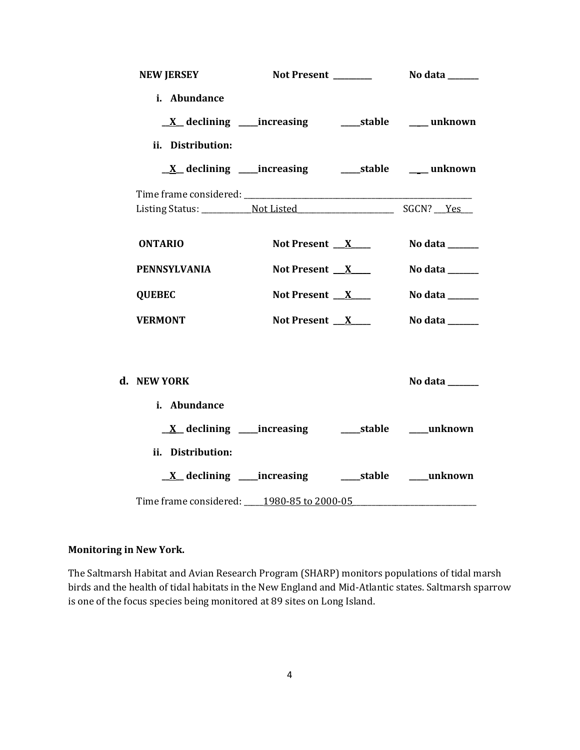| <b>NEW JERSEY</b>   |                                                             |  |                                 |
|---------------------|-------------------------------------------------------------|--|---------------------------------|
| i. Abundance        |                                                             |  |                                 |
|                     |                                                             |  |                                 |
| ii. Distribution:   |                                                             |  |                                 |
|                     |                                                             |  |                                 |
|                     |                                                             |  |                                 |
|                     |                                                             |  |                                 |
| <b>ONTARIO</b>      | Not Present $X$                                             |  | No data $\_\_\_\_\_\_\_\_\_\_\$ |
| <b>PENNSYLVANIA</b> | Not Present $X$                                             |  | No data $\_\_\_\_\_\_\_\_\_\_\$ |
| <b>QUEBEC</b>       | Not Present $X$                                             |  | No data ______                  |
| <b>VERMONT</b>      | Not Present $X$                                             |  | No data ______                  |
|                     |                                                             |  |                                 |
| d. NEW YORK         |                                                             |  | No data $\_\_\_\_\_\_\_\_\_\_\$ |
| i. Abundance        |                                                             |  |                                 |
|                     | <u>X</u> declining ____increasing ______stable _____unknown |  |                                 |
| ii. Distribution:   |                                                             |  |                                 |
|                     | <u>X</u> declining ____increasing ______stable ____unknown  |  |                                 |
|                     |                                                             |  |                                 |

# **Monitoring in New York.**

The Saltmarsh Habitat and Avian Research Program (SHARP) monitors populations of tidal marsh birds and the health of tidal habitats in the New England and Mid-Atlantic states. Saltmarsh sparrow is one of the focus species being monitored at 89 sites on Long Island.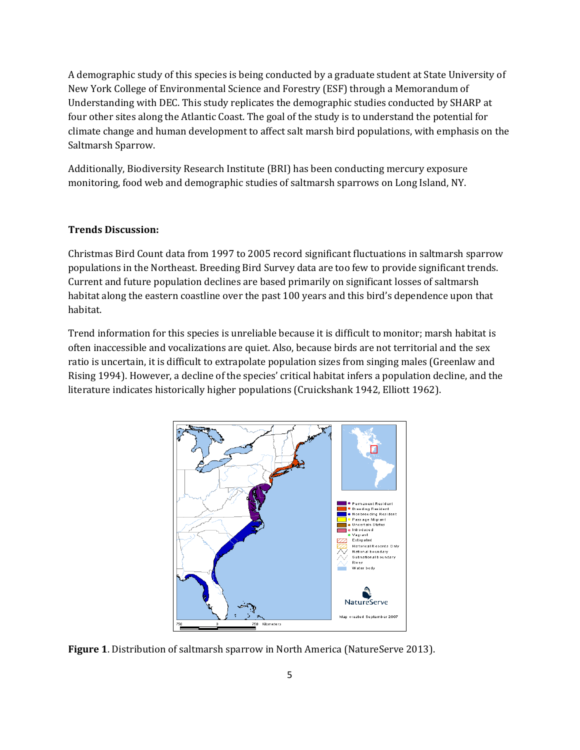A demographic study of this species is being conducted by a graduate student at State University of New York College of Environmental Science and Forestry (ESF) through a Memorandum of Understanding with DEC. This study replicates the demographic studies conducted by SHARP at four other sites along the Atlantic Coast. The goal of the study is to understand the potential for climate change and human development to affect salt marsh bird populations, with emphasis on the Saltmarsh Sparrow.

Additionally, Biodiversity Research Institute (BRI) has been conducting mercury exposure monitoring, food web and demographic studies of saltmarsh sparrows on Long Island, NY.

#### **Trends Discussion:**

Christmas Bird Count data from 1997 to 2005 record significant fluctuations in saltmarsh sparrow populations in the Northeast. Breeding Bird Survey data are too few to provide significant trends. Current and future population declines are based primarily on significant losses of saltmarsh habitat along the eastern coastline over the past 100 years and this bird's dependence upon that habitat.

Trend information for this species is unreliable because it is difficult to monitor; marsh habitat is often inaccessible and vocalizations are quiet. Also, because birds are not territorial and the sex ratio is uncertain, it is difficult to extrapolate population sizes from singing males (Greenlaw and Rising 1994). However, a decline of the species' critical habitat infers a population decline, and the literature indicates historically higher populations (Cruickshank 1942, Elliott 1962).



**Figure 1.** Distribution of saltmarsh sparrow in North America (NatureServe 2013).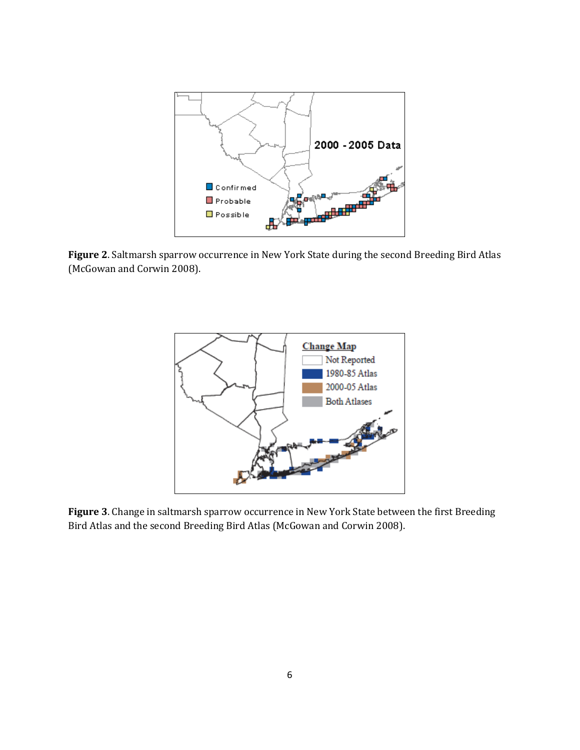

**Figure 2**. Saltmarsh sparrow occurrence in New York State during the second Breeding Bird Atlas (McGowan and Corwin 2008).



**Figure 3**. Change in saltmarsh sparrow occurrence in New York State between the first Breeding Bird Atlas and the second Breeding Bird Atlas (McGowan and Corwin 2008).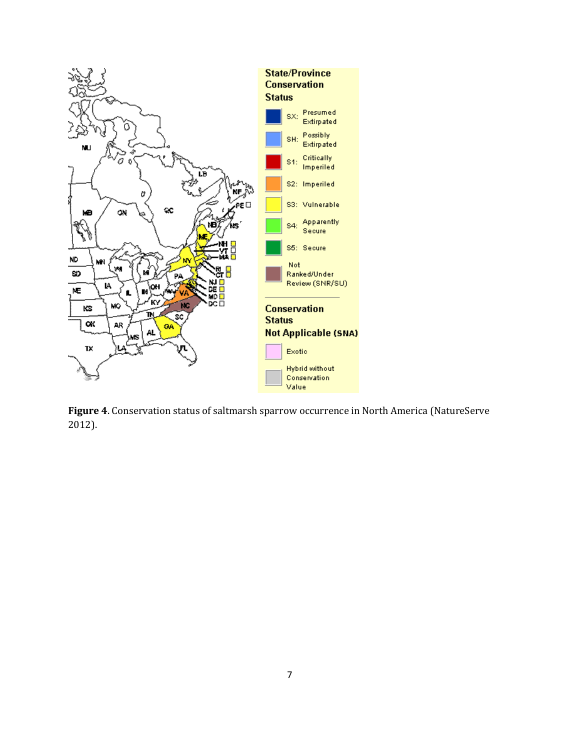

**Figure 4**. Conservation status of saltmarsh sparrow occurrence in North America (NatureServe 2012).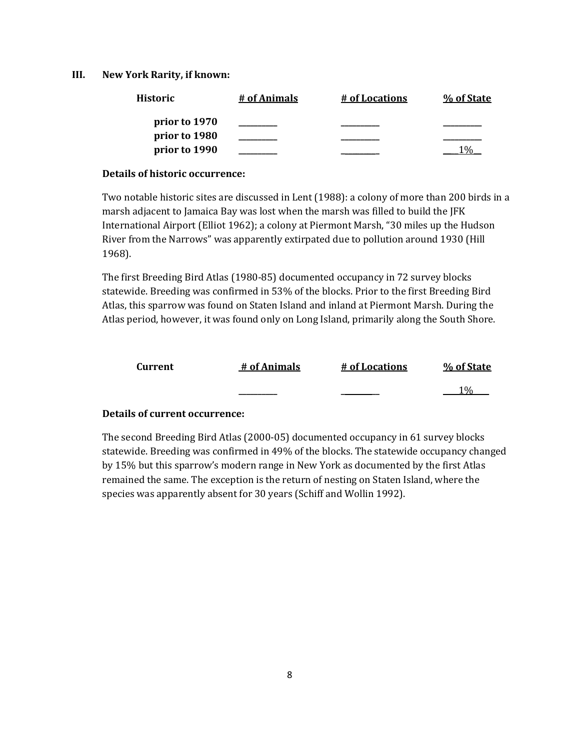#### **III. New York Rarity, if known:**

| <b>Historic</b> | # of Animals | # of Locations | % of State |
|-----------------|--------------|----------------|------------|
| prior to 1970   |              |                |            |
| prior to 1980   |              |                |            |
| prior to 1990   |              |                |            |

#### **Details of historic occurrence:**

Two notable historic sites are discussed in Lent (1988): a colony of more than 200 birds in a marsh adjacent to Jamaica Bay was lost when the marsh was filled to build the JFK International Airport (Elliot 1962); a colony at Piermont Marsh, "30 miles up the Hudson River from the Narrows" was apparently extirpated due to pollution around 1930 (Hill 1968).

The first Breeding Bird Atlas (1980-85) documented occupancy in 72 survey blocks statewide. Breeding was confirmed in 53% of the blocks. Prior to the first Breeding Bird Atlas, this sparrow was found on Staten Island and inland at Piermont Marsh. During the Atlas period, however, it was found only on Long Island, primarily along the South Shore.

| Current | # of Animals | # of Locations | % of State |
|---------|--------------|----------------|------------|
|         |              |                | 10/2       |

## **Details of current occurrence:**

The second Breeding Bird Atlas (2000-05) documented occupancy in 61 survey blocks statewide. Breeding was confirmed in 49% of the blocks. The statewide occupancy changed by 15% but this sparrow's modern range in New York as documented by the first Atlas remained the same. The exception is the return of nesting on Staten Island, where the species was apparently absent for 30 years (Schiff and Wollin 1992).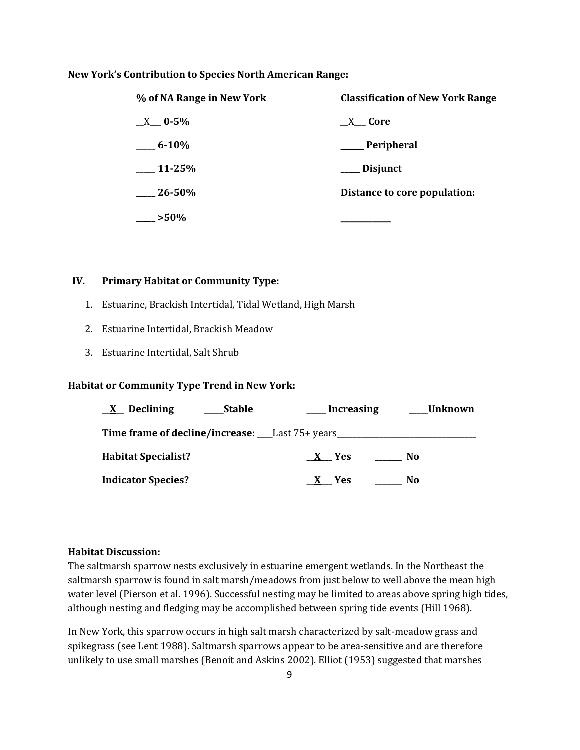#### **New York's Contribution to Species North American Range:**

| % of NA Range in New York | <b>Classification of New York Range</b> |
|---------------------------|-----------------------------------------|
| $X = 0.5\%$               | $X$ Core                                |
| $6 - 10\%$                | Peripheral                              |
| $\_11 - 25\%$             | Disjunct                                |
| $26 - 50\%$               | Distance to core population:            |
| $\sim$ >50%               |                                         |

## **IV. Primary Habitat or Community Type:**

- 1. Estuarine, Brackish Intertidal, Tidal Wetland, High Marsh
- 2. Estuarine Intertidal, Brackish Meadow
- 3. Estuarine Intertidal, Salt Shrub

## **Habitat or Community Type Trend in New York:**

| $X$ Declining                                     | <b>Stable</b> | Increasing | Unknown |
|---------------------------------------------------|---------------|------------|---------|
| Time frame of decline/increase: ___Last 75+ years |               |            |         |
| <b>Habitat Specialist?</b>                        |               | X Yes      | No      |
| <b>Indicator Species?</b>                         |               | X Yes      | No.     |

## **Habitat Discussion:**

The saltmarsh sparrow nests exclusively in estuarine emergent wetlands. In the Northeast the saltmarsh sparrow is found in salt marsh/meadows from just below to well above the mean high water level (Pierson et al. 1996). Successful nesting may be limited to areas above spring high tides, although nesting and fledging may be accomplished between spring tide events (Hill 1968).

In New York, this sparrow occurs in high salt marsh characterized by salt-meadow grass and spikegrass (see Lent 1988). Saltmarsh sparrows appear to be area-sensitive and are therefore unlikely to use small marshes (Benoit and Askins 2002). Elliot (1953) suggested that marshes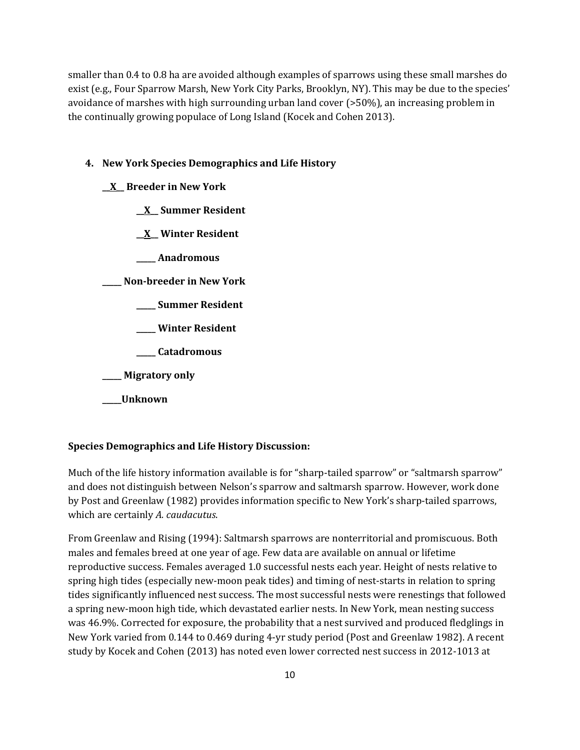smaller than 0.4 to 0.8 ha are avoided although examples of sparrows using these small marshes do exist (e.g., Four Sparrow Marsh, New York City Parks, Brooklyn, NY). This may be due to the species' avoidance of marshes with high surrounding urban land cover (>50%), an increasing problem in the continually growing populace of Long Island (Kocek and Cohen 2013).

#### **4. New York Species Demographics and Life History**

**\_\_X\_\_ Breeder in New York**

**\_\_X\_\_ Summer Resident**

**\_\_X\_\_ Winter Resident**

**\_\_\_\_\_ Anadromous**

**\_\_\_\_\_ Non-breeder in New York**

- **\_\_\_\_\_ Summer Resident**
- **\_\_\_\_\_ Winter Resident**

**\_\_\_\_\_ Catadromous**

**\_\_\_\_\_ Migratory only**

**\_\_\_\_\_Unknown**

#### **Species Demographics and Life History Discussion:**

Much of the life history information available is for "sharp-tailed sparrow" or "saltmarsh sparrow" and does not distinguish between Nelson's sparrow and saltmarsh sparrow. However, work done by Post and Greenlaw (1982) provides information specific to New York's sharp-tailed sparrows, which are certainly *A. caudacutus*.

From Greenlaw and Rising (1994): Saltmarsh sparrows are nonterritorial and promiscuous. Both males and females breed at one year of age. Few data are available on annual or lifetime reproductive success. Females averaged 1.0 successful nests each year. Height of nests relative to spring high tides (especially new-moon peak tides) and timing of nest-starts in relation to spring tides significantly influenced nest success. The most successful nests were renestings that followed a spring new-moon high tide, which devastated earlier nests. In New York, mean nesting success was 46.9%. Corrected for exposure, the probability that a nest survived and produced fledglings in New York varied from 0.144 to 0.469 during 4-yr study period (Post and Greenlaw 1982). A recent study by Kocek and Cohen (2013) has noted even lower corrected nest success in 2012-1013 at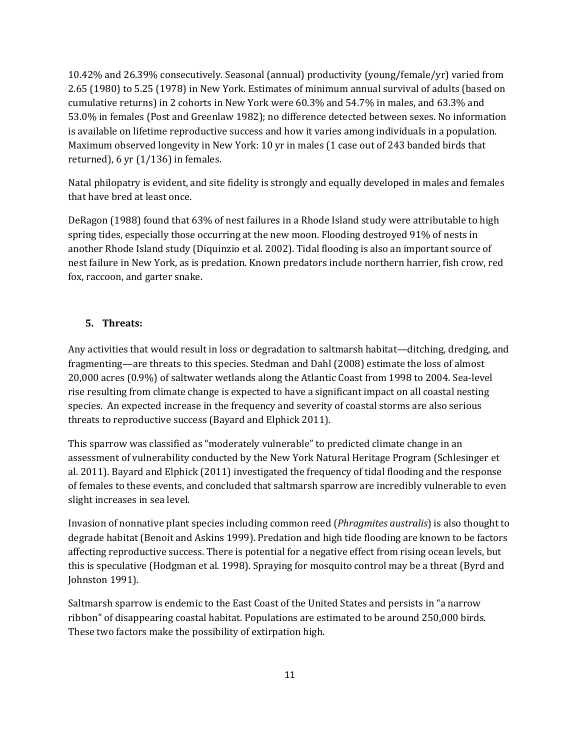10.42% and 26.39% consecutively. Seasonal (annual) productivity (young/female/yr) varied from 2.65 (1980) to 5.25 (1978) in New York. Estimates of minimum annual survival of adults (based on cumulative returns) in 2 cohorts in New York were 60.3% and 54.7% in males, and 63.3% and 53.0% in females (Post and Greenlaw 1982); no difference detected between sexes. No information is available on lifetime reproductive success and how it varies among individuals in a population. Maximum observed longevity in New York: 10 yr in males (1 case out of 243 banded birds that returned), 6 yr  $(1/136)$  in females.

Natal philopatry is evident, and site fidelity is strongly and equally developed in males and females that have bred at least once.

DeRagon (1988) found that 63% of nest failures in a Rhode Island study were attributable to high spring tides, especially those occurring at the new moon. Flooding destroyed 91% of nests in another Rhode Island study (Diquinzio et al. 2002). Tidal flooding is also an important source of nest failure in New York, as is predation. Known predators include northern harrier, fish crow, red fox, raccoon, and garter snake.

## **5. Threats:**

Any activities that would result in loss or degradation to saltmarsh habitat—ditching, dredging, and fragmenting—are threats to this species. Stedman and Dahl (2008) estimate the loss of almost 20,000 acres (0.9%) of saltwater wetlands along the Atlantic Coast from 1998 to 2004. Sea-level rise resulting from climate change is expected to have a significant impact on all coastal nesting species. An expected increase in the frequency and severity of coastal storms are also serious threats to reproductive success (Bayard and Elphick 2011).

This sparrow was classified as "moderately vulnerable" to predicted climate change in an assessment of vulnerability conducted by the New York Natural Heritage Program (Schlesinger et al. 2011). Bayard and Elphick (2011) investigated the frequency of tidal flooding and the response of females to these events, and concluded that saltmarsh sparrow are incredibly vulnerable to even slight increases in sea level.

Invasion of nonnative plant species including common reed (*Phragmites australis*) is also thought to degrade habitat (Benoit and Askins 1999). Predation and high tide flooding are known to be factors affecting reproductive success. There is potential for a negative effect from rising ocean levels, but this is speculative (Hodgman et al. 1998). Spraying for mosquito control may be a threat (Byrd and Johnston 1991).

Saltmarsh sparrow is endemic to the East Coast of the United States and persists in "a narrow ribbon" of disappearing coastal habitat. Populations are estimated to be around 250,000 birds. These two factors make the possibility of extirpation high.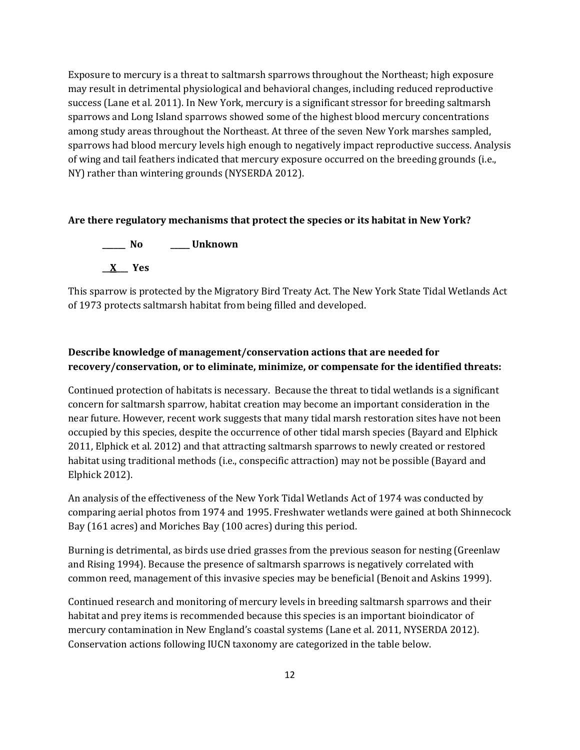Exposure to mercury is a threat to saltmarsh sparrows throughout the Northeast; high exposure may result in detrimental physiological and behavioral changes, including reduced reproductive success (Lane et al. 2011). In New York, mercury is a significant stressor for breeding saltmarsh sparrows and Long Island sparrows showed some of the highest blood mercury concentrations among study areas throughout the Northeast. At three of the seven New York marshes sampled, sparrows had blood mercury levels high enough to negatively impact reproductive success. Analysis of wing and tail feathers indicated that mercury exposure occurred on the breeding grounds (i.e., NY) rather than wintering grounds (NYSERDA 2012).

#### **Are there regulatory mechanisms that protect the species or its habitat in New York?**

**\_\_\_\_\_\_ No \_\_\_\_\_ Unknown \_\_X\_\_\_ Yes** 

This sparrow is protected by the Migratory Bird Treaty Act. The New York State Tidal Wetlands Act of 1973 protects saltmarsh habitat from being filled and developed.

# **Describe knowledge of management/conservation actions that are needed for recovery/conservation, or to eliminate, minimize, or compensate for the identified threats:**

Continued protection of habitats is necessary. Because the threat to tidal wetlands is a significant concern for saltmarsh sparrow, habitat creation may become an important consideration in the near future. However, recent work suggests that many tidal marsh restoration sites have not been occupied by this species, despite the occurrence of other tidal marsh species (Bayard and Elphick 2011, Elphick et al. 2012) and that attracting saltmarsh sparrows to newly created or restored habitat using traditional methods (i.e., conspecific attraction) may not be possible (Bayard and Elphick 2012).

An analysis of the effectiveness of the New York Tidal Wetlands Act of 1974 was conducted by comparing aerial photos from 1974 and 1995. Freshwater wetlands were gained at both Shinnecock Bay (161 acres) and Moriches Bay (100 acres) during this period.

Burning is detrimental, as birds use dried grasses from the previous season for nesting (Greenlaw and Rising 1994). Because the presence of saltmarsh sparrows is negatively correlated with common reed, management of this invasive species may be beneficial (Benoit and Askins 1999).

Continued research and monitoring of mercury levels in breeding saltmarsh sparrows and their habitat and prey items is recommended because this species is an important bioindicator of mercury contamination in New England's coastal systems (Lane et al. 2011, NYSERDA 2012). Conservation actions following IUCN taxonomy are categorized in the table below.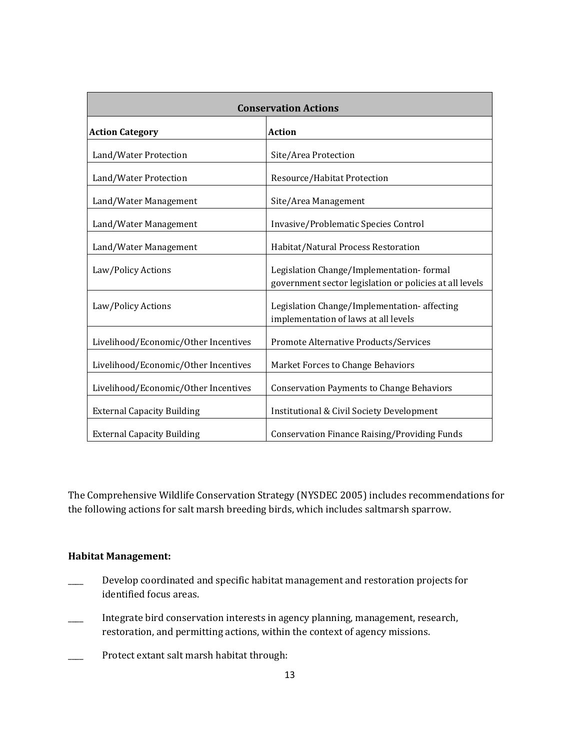| <b>Conservation Actions</b>          |                                                                                                     |  |  |
|--------------------------------------|-----------------------------------------------------------------------------------------------------|--|--|
| <b>Action Category</b>               | <b>Action</b>                                                                                       |  |  |
| Land/Water Protection                | Site/Area Protection                                                                                |  |  |
| Land/Water Protection                | Resource/Habitat Protection                                                                         |  |  |
| Land/Water Management                | Site/Area Management                                                                                |  |  |
| Land/Water Management                | Invasive/Problematic Species Control                                                                |  |  |
| Land/Water Management                | Habitat/Natural Process Restoration                                                                 |  |  |
| Law/Policy Actions                   | Legislation Change/Implementation-formal<br>government sector legislation or policies at all levels |  |  |
| Law/Policy Actions                   | Legislation Change/Implementation-affecting<br>implementation of laws at all levels                 |  |  |
| Livelihood/Economic/Other Incentives | Promote Alternative Products/Services                                                               |  |  |
| Livelihood/Economic/Other Incentives | Market Forces to Change Behaviors                                                                   |  |  |
| Livelihood/Economic/Other Incentives | <b>Conservation Payments to Change Behaviors</b>                                                    |  |  |
| <b>External Capacity Building</b>    | <b>Institutional &amp; Civil Society Development</b>                                                |  |  |
| <b>External Capacity Building</b>    | <b>Conservation Finance Raising/Providing Funds</b>                                                 |  |  |

The Comprehensive Wildlife Conservation Strategy (NYSDEC 2005) includes recommendations for the following actions for salt marsh breeding birds, which includes saltmarsh sparrow.

## **Habitat Management:**

- Develop coordinated and specific habitat management and restoration projects for identified focus areas.
- \_\_\_\_ Integrate bird conservation interests in agency planning, management, research, restoration, and permitting actions, within the context of agency missions.
- \_\_\_\_ Protect extant salt marsh habitat through: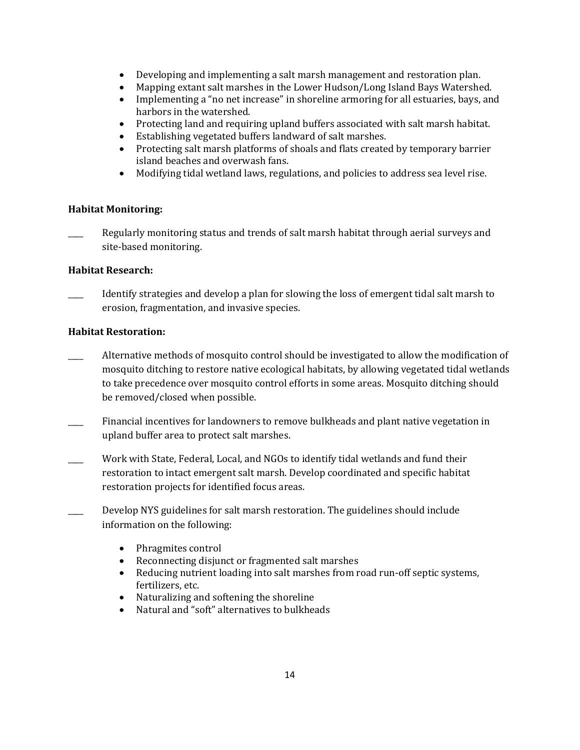- Developing and implementing a salt marsh management and restoration plan.
- Mapping extant salt marshes in the Lower Hudson/Long Island Bays Watershed.
- Implementing a "no net increase" in shoreline armoring for all estuaries, bays, and harbors in the watershed.
- Protecting land and requiring upland buffers associated with salt marsh habitat.
- Establishing vegetated buffers landward of salt marshes.
- Protecting salt marsh platforms of shoals and flats created by temporary barrier island beaches and overwash fans.
- Modifying tidal wetland laws, regulations, and policies to address sea level rise.

## **Habitat Monitoring:**

Regularly monitoring status and trends of salt marsh habitat through aerial surveys and site-based monitoring.

## **Habitat Research:**

\_\_\_\_ Identify strategies and develop a plan for slowing the loss of emergent tidal salt marsh to erosion, fragmentation, and invasive species.

## **Habitat Restoration:**

- \_\_\_\_ Alternative methods of mosquito control should be investigated to allow the modification of mosquito ditching to restore native ecological habitats, by allowing vegetated tidal wetlands to take precedence over mosquito control efforts in some areas. Mosquito ditching should be removed/closed when possible.
- Financial incentives for landowners to remove bulkheads and plant native vegetation in upland buffer area to protect salt marshes.
- Work with State, Federal, Local, and NGOs to identify tidal wetlands and fund their restoration to intact emergent salt marsh. Develop coordinated and specific habitat restoration projects for identified focus areas.
- Develop NYS guidelines for salt marsh restoration. The guidelines should include information on the following:
	- Phragmites control
	- Reconnecting disjunct or fragmented salt marshes
	- Reducing nutrient loading into salt marshes from road run-off septic systems, fertilizers, etc.
	- Naturalizing and softening the shoreline
	- Natural and "soft" alternatives to bulkheads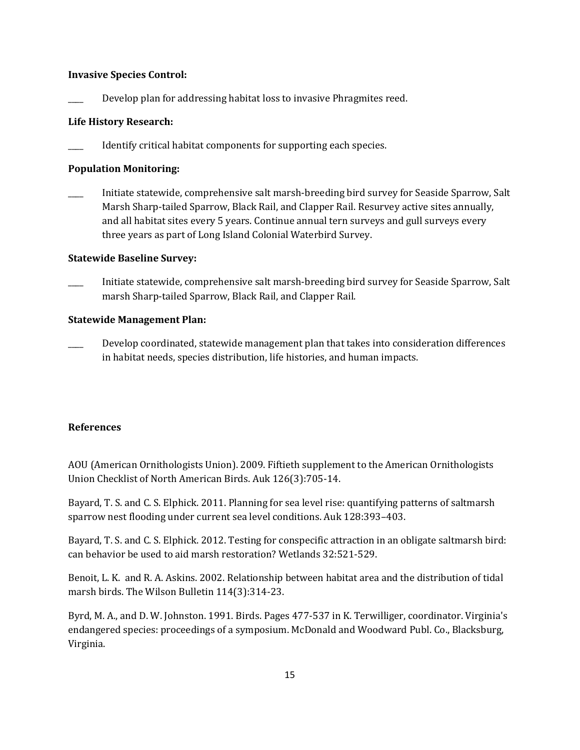#### **Invasive Species Control:**

Develop plan for addressing habitat loss to invasive Phragmites reed.

#### **Life History Research:**

Identify critical habitat components for supporting each species.

## **Population Monitoring:**

\_\_\_\_ Initiate statewide, comprehensive salt marsh-breeding bird survey for Seaside Sparrow, Salt Marsh Sharp-tailed Sparrow, Black Rail, and Clapper Rail. Resurvey active sites annually, and all habitat sites every 5 years. Continue annual tern surveys and gull surveys every three years as part of Long Island Colonial Waterbird Survey.

#### **Statewide Baseline Survey:**

\_\_\_\_ Initiate statewide, comprehensive salt marsh-breeding bird survey for Seaside Sparrow, Salt marsh Sharp-tailed Sparrow, Black Rail, and Clapper Rail.

#### **Statewide Management Plan:**

Develop coordinated, statewide management plan that takes into consideration differences in habitat needs, species distribution, life histories, and human impacts.

## **References**

AOU (American Ornithologists Union). 2009. Fiftieth supplement to the American Ornithologists Union Checklist of North American Birds. Auk 126(3):705-14.

Bayard, T. S. and C. S. Elphick. 2011. Planning for sea level rise: quantifying patterns of saltmarsh sparrow nest flooding under current sea level conditions. Auk 128:393–403.

Bayard, T. S. and C. S. Elphick. 2012. Testing for conspecific attraction in an obligate saltmarsh bird: can behavior be used to aid marsh restoration? Wetlands 32:521-529.

Benoit, L. K. and R. A. Askins. 2002. Relationship between habitat area and the distribution of tidal marsh birds. The Wilson Bulletin 114(3):314-23.

Byrd, M. A., and D. W. Johnston. 1991. Birds. Pages 477-537 in K. Terwilliger, coordinator. Virginia's endangered species: proceedings of a symposium. McDonald and Woodward Publ. Co., Blacksburg, Virginia.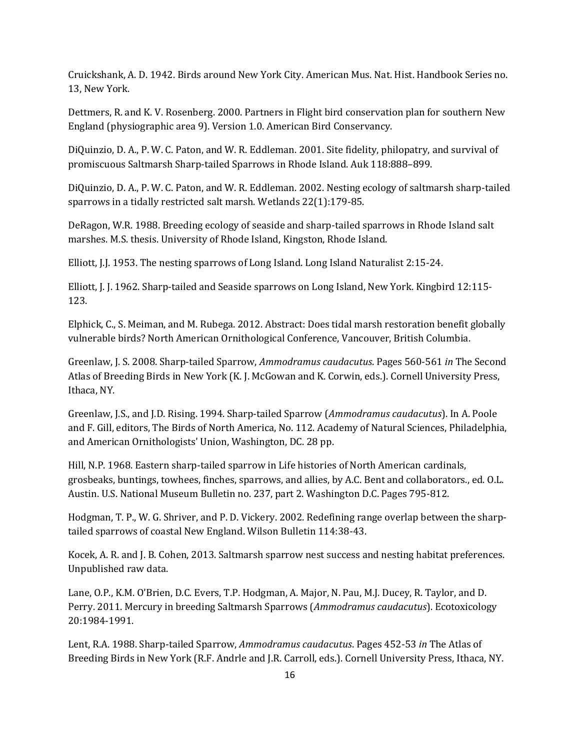Cruickshank, A. D. 1942. Birds around New York City. American Mus. Nat. Hist. Handbook Series no. 13, New York.

Dettmers, R. and K. V. Rosenberg. 2000. Partners in Flight bird conservation plan for southern New England (physiographic area 9). Version 1.0. American Bird Conservancy.

DiQuinzio, D. A., P. W. C. Paton, and W. R. Eddleman. 2001. Site fidelity, philopatry, and survival of promiscuous Saltmarsh Sharp-tailed Sparrows in Rhode Island. Auk 118:888–899.

DiQuinzio, D. A., P. W. C. Paton, and W. R. Eddleman. 2002. Nesting ecology of saltmarsh sharp-tailed sparrows in a tidally restricted salt marsh. Wetlands 22(1):179-85.

DeRagon, W.R. 1988. Breeding ecology of seaside and sharp-tailed sparrows in Rhode Island salt marshes. M.S. thesis. University of Rhode Island, Kingston, Rhode Island.

Elliott, J.J. 1953. The nesting sparrows of Long Island. Long Island Naturalist 2:15-24.

Elliott, J. J. 1962. Sharp-tailed and Seaside sparrows on Long Island, New York. Kingbird 12:115- 123.

Elphick, C., S. Meiman, and M. Rubega. 2012. Abstract: Does tidal marsh restoration benefit globally vulnerable birds? North American Ornithological Conference, Vancouver, British Columbia.

Greenlaw, J. S. 2008. Sharp-tailed Sparrow, *Ammodramus caudacutus*. Pages 560-561 *in* The Second Atlas of Breeding Birds in New York (K. J. McGowan and K. Corwin, eds.). Cornell University Press, Ithaca, NY.

Greenlaw, J.S., and J.D. Rising. 1994. Sharp-tailed Sparrow (*Ammodramus caudacutus*). In A. Poole and F. Gill, editors, The Birds of North America, No. 112. Academy of Natural Sciences, Philadelphia, and American Ornithologists' Union, Washington, DC. 28 pp.

Hill, N.P. 1968. Eastern sharp-tailed sparrow in Life histories of North American cardinals, grosbeaks, buntings, towhees, finches, sparrows, and allies, by A.C. Bent and collaborators., ed. O.L. Austin. U.S. National Museum Bulletin no. 237, part 2. Washington D.C. Pages 795-812.

Hodgman, T. P., W. G. Shriver, and P. D. Vickery. 2002. Redefining range overlap between the sharptailed sparrows of coastal New England. Wilson Bulletin 114:38-43.

Kocek, A. R. and J. B. Cohen, 2013. Saltmarsh sparrow nest success and nesting habitat preferences. Unpublished raw data.

Lane, O.P., K.M. O'Brien, D.C. Evers, T.P. Hodgman, A. Major, N. Pau, M.J. Ducey, R. Taylor, and D. Perry. 2011. Mercury in breeding Saltmarsh Sparrows (*Ammodramus caudacutus*). Ecotoxicology 20:1984-1991.

Lent, R.A. 1988. Sharp-tailed Sparrow, *Ammodramus caudacutus*. Pages 452-53 *in* The Atlas of Breeding Birds in New York (R.F. Andrle and J.R. Carroll, eds.). Cornell University Press, Ithaca, NY.